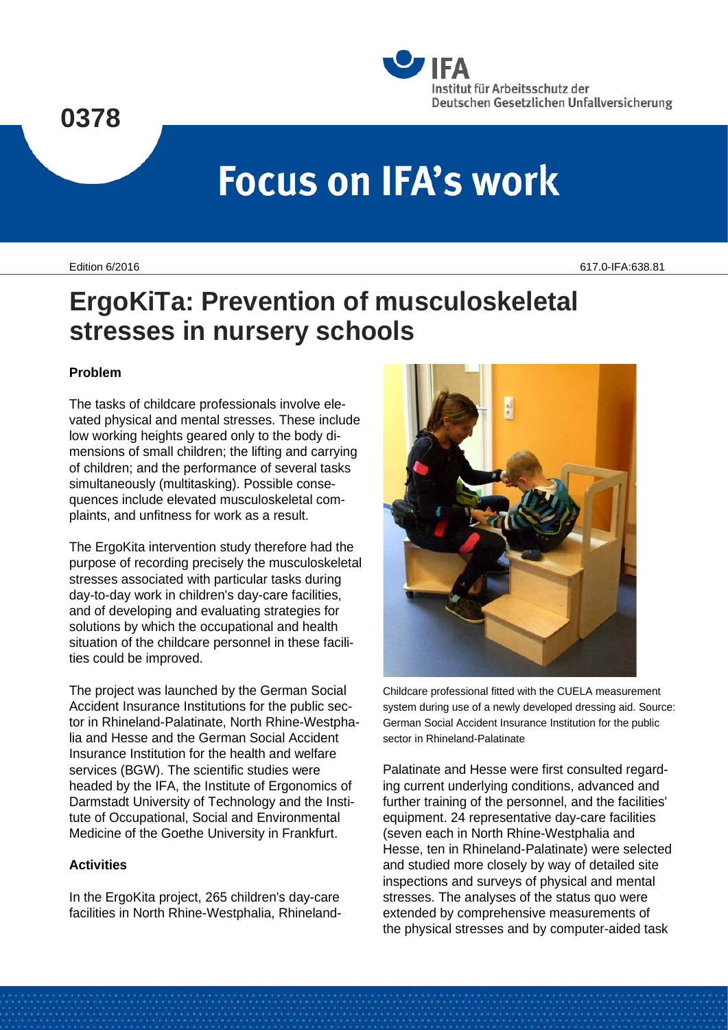# **0378**



# **Focus on IFA's work**

Edition 6/2016 617.0-IFA:638.81

# **ErgoKiTa: Prevention of musculoskeletal stresses in nursery schools**

## **Problem**

The tasks of childcare professionals involve elevated physical and mental stresses. These include low working heights geared only to the body dimensions of small children; the lifting and carrying of children; and the performance of several tasks simultaneously (multitasking). Possible consequences include elevated musculoskeletal complaints, and unfitness for work as a result.

The ErgoKita intervention study therefore had the purpose of recording precisely the musculoskeletal stresses associated with particular tasks during day-to-day work in children's day-care facilities, and of developing and evaluating strategies for solutions by which the occupational and health situation of the childcare personnel in these facilities could be improved.

The project was launched by the German Social Accident Insurance Institutions for the public sector in Rhineland-Palatinate, North Rhine-Westphalia and Hesse and the German Social Accident Insurance Institution for the health and welfare services (BGW). The scientific studies were headed by the IFA, the Institute of Ergonomics of Darmstadt University of Technology and the Institute of Occupational, Social and Environmental Medicine of the Goethe University in Frankfurt.

#### **Activities**

In the ErgoKita project, 265 children's day-care facilities in North Rhine-Westphalia, Rhineland-



Childcare professional fitted with the CUELA measurement system during use of a newly developed dressing aid. Source: German Social Accident Insurance Institution for the public sector in Rhineland-Palatinate

Palatinate and Hesse were first consulted regarding current underlying conditions, advanced and further training of the personnel, and the facilities' equipment. 24 representative day-care facilities (seven each in North Rhine-Westphalia and Hesse, ten in Rhineland-Palatinate) were selected and studied more closely by way of detailed site inspections and surveys of physical and mental stresses. The analyses of the status quo were extended by comprehensive measurements of the physical stresses and by computer-aided task